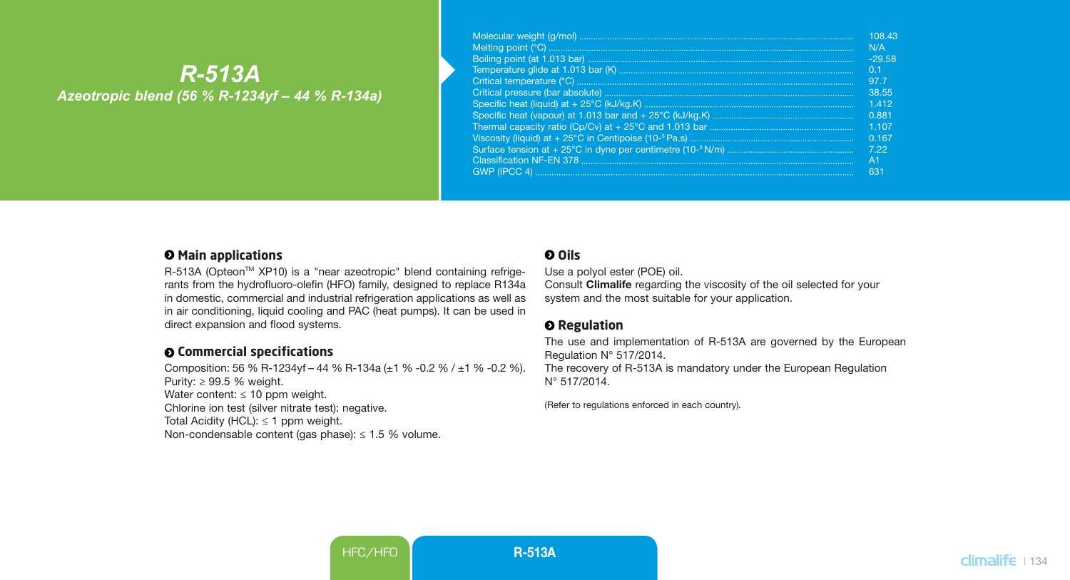# *R-513A Azeotropic blend (56 % R-1234yf – 44 % R-134a)*

| 108.43         |
|----------------|
| N/A            |
| $-29.58$       |
| 0 <sub>1</sub> |
| 97.7           |
| 38.55          |
| 1.412          |
| 0.881          |
| 1107           |
| 0.167          |
| 7.22           |
| A <sub>1</sub> |
| 631            |

### $\Theta$  Main applications

R-513A (Opteon™ XP10) is a "near azeotropic" blend containing refrigerants from the hydrofluoro-olefin (HFO) family, designed to replace R134a in domestic, commercial and industrial refrigeration applications as well as in air conditioning, liquid cooling and PAC (heat pumps). It can be used in direct expansion and flood systems.

## **Commercial specifications**

Composition: 56 % R-1234yf – 44 % R-134a (±1 % -0.2 % / ±1 % -0.2 %). Purity: ≥ 99.5 % weight. Water content:  $\leq 10$  ppm weight. Chlorine ion test (silver nitrate test): negative. Total Acidity (HCL):  $\leq$  1 ppm weight. Non-condensable content (gas phase):  $\leq 1.5$  % volume.

# **Oils**

Use a polyol ester (POE) oil.

Consult Climalife regarding the viscosity of the oil selected for your system and the most suitable for your application.

### **O** Regulation

The use and implementation of R-513A are governed by the European Regulation N° 517/2014. The recovery of R-513A is mandatory under the European Regulation N° 517/2014.

(Refer to regulations enforced in each country)*.*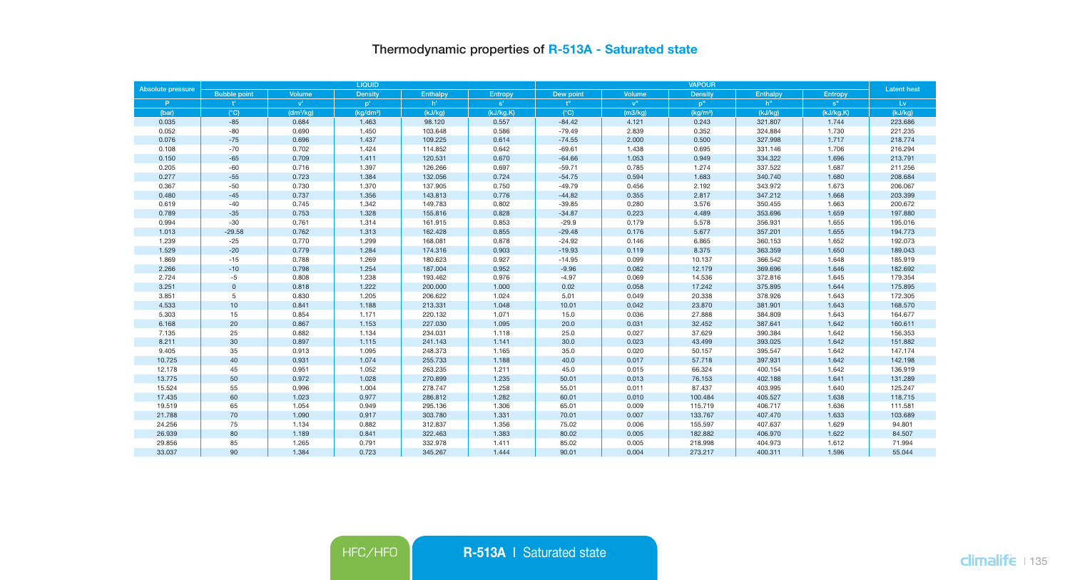# Thermodynamic properties of R-513A - Saturated state

| Absolute pressure |                     |                         | LIQUID               |                |           |                           | <b>Latent</b> heat |                      |                |                 |         |
|-------------------|---------------------|-------------------------|----------------------|----------------|-----------|---------------------------|--------------------|----------------------|----------------|-----------------|---------|
|                   | <b>Bubble point</b> | Volume                  | Density              | Enthalpy       | Entropy   | Dew point                 | Volume             | Density              | Enthalpy       | Entropy         |         |
| P.                | Ŧ.                  | $\mathbf{v}^{\text{r}}$ | $p^+$                | h <sup>*</sup> | s'        | $\mathbf{f}^{\mathbf{H}}$ | $\mathbf{v}^n$     | p <sup>n</sup>       | h <sup>n</sup> | s <sup>''</sup> | Lv      |
| (bar)             | $(^{\circ}C)$       | (dm <sup>3</sup> /ka)   | (ka/dm <sup>3)</sup> | (kJ/Ka)        | (kJ/kg.K) | $(^{\circ}C)$             | (m3/ka)            | (kq/m <sup>3</sup> ) | (kJ/Ka)        | (kJ/kg.K)       | (kJ/Ka) |
| 0.035             | $-85$               | 0.684                   | 1.463                | 98.120         | 0.557     | $-84.42$                  | 4.121              | 0.243                | 321.807        | 1.744           | 223,686 |
| 0.052             | $-80$               | 0.690                   | 1.450                | 103.648        | 0.586     | $-79.49$                  | 2.839              | 0.352                | 324.884        | 1.730           | 221.235 |
| 0.076             | $-75$               | 0.696                   | 1.437                | 109.225        | 0.614     | $-74.55$                  | 2.000              | 0.500                | 327.998        | 1.717           | 218.774 |
| 0.108             | $-70$               | 0.702                   | 1.424                | 114.852        | 0.642     | $-69.61$                  | 1.438              | 0.695                | 331.146        | 1.706           | 216.294 |
| 0.150             | $-65$               | 0.709                   | 1.411                | 120.531        | 0.670     | $-64.66$                  | 1.053              | 0.949                | 334.322        | 1.696           | 213.791 |
| 0.205             | $-60$               | 0.716                   | 1.397                | 126,266        | 0.697     | $-59.71$                  | 0.785              | 1.274                | 337,522        | 1.687           | 211,256 |
| 0.277             | $-55$               | 0.723                   | 1.384                | 132.056        | 0.724     | $-54.75$                  | 0.594              | 1.683                | 340.740        | 1.680           | 208.684 |
| 0.367             | $-50$               | 0.730                   | 1.370                | 137.905        | 0.750     | $-49.79$                  | 0.456              | 2.192                | 343.972        | 1.673           | 206.067 |
| 0.480             | $-45$               | 0.737                   | 1.356                | 143.813        | 0.776     | $-44.82$                  | 0.355              | 2.817                | 347.212        | 1.668           | 203.399 |
| 0.619             | $-40$               | 0.745                   | 1.342                | 149.783        | 0.802     | $-39.85$                  | 0.280              | 3.576                | 350.455        | 1.663           | 200.672 |
| 0.789             | $-35$               | 0.753                   | 1.328                | 155.816        | 0.828     | $-34.87$                  | 0.223              | 4.489                | 353,696        | 1.659           | 197,880 |
| 0.994             | $-30$               | 0.761                   | 1.314                | 161.915        | 0.853     | $-29.9$                   | 0.179              | 5.578                | 356.931        | 1.655           | 195.016 |
| 1.013             | $-29.58$            | 0.762                   | 1.313                | 162.428        | 0.855     | $-29.48$                  | 0.176              | 5.677                | 357.201        | 1.655           | 194.773 |
| 1.239             | $-25$               | 0.770                   | 1.299                | 168.081        | 0.878     | $-24.92$                  | 0.146              | 6.865                | 360.153        | 1.652           | 192.073 |
| 1.529             | $-20$               | 0.779                   | 1.284                | 174.316        | 0.903     | $-19.93$                  | 0.119              | 8.375                | 363.359        | 1.650           | 189.043 |
| 1.869             | $-15$               | 0.788                   | 1.269                | 180.623        | 0.927     | $-14.95$                  | 0.099              | 10.137               | 366.542        | 1.648           | 185,919 |
| 2.266             | $-10$               | 0.798                   | 1.254                | 187,004        | 0.952     | $-9.96$                   | 0.082              | 12.179               | 369,696        | 1.646           | 182.692 |
| 2.724             | $-5$                | 0.808                   | 1.238                | 193.462        | 0.976     | $-4.97$                   | 0.069              | 14.536               | 372.816        | 1.645           | 179.354 |
| 3.251             | $\mathbb O$         | 0.818                   | 1.222                | 200.000        | 1.000     | 0.02                      | 0.058              | 17.242               | 375.895        | 1.644           | 175.895 |
| 3.851             | 5                   | 0.830                   | 1.205                | 206.622        | 1.024     | 5.01                      | 0.049              | 20.338               | 378.926        | 1.643           | 172.305 |
| 4.533             | 10                  | 0.841                   | 1.188                | 213.331        | 1.048     | 10.01                     | 0.042              | 23.870               | 381.901        | 1.643           | 168.570 |
| 5.303             | 15                  | 0.854                   | 1.171                | 220.132        | 1.071     | 15.0                      | 0.036              | 27.888               | 384.809        | 1.643           | 164,677 |
| 6.168             | $20\degree$         | 0.867                   | 1.153                | 227.030        | 1.095     | 20.0                      | 0.031              | 32.452               | 387.641        | 1.642           | 160,611 |
| 7.135             | 25                  | 0.882                   | 1.134                | 234.031        | 1.118     | 25.0                      | 0.027              | 37.629               | 390.384        | 1.642           | 156.353 |
| 8.211             | 30                  | 0.897                   | 1.115                | 241.143        | 1.141     | 30.0                      | 0.023              | 43.499               | 393.025        | 1.642           | 151.882 |
| 9.405             | 35                  | 0.913                   | 1.095                | 248.373        | 1.165     | 35.0                      | 0.020              | 50.157               | 395.547        | 1.642           | 147.174 |
| 10.725            | 40                  | 0.931                   | 1.074                | 255.733        | 1.188     | 40.0                      | 0.017              | 57.718               | 397.931        | 1.642           | 142.198 |
| 12.178            | 45                  | 0.951                   | 1.052                | 263.235        | 1.211     | 45.0                      | 0.015              | 66.324               | 400.154        | 1.642           | 136.919 |
| 13.775            | 50                  | 0.972                   | 1.028                | 270.899        | 1.235     | 50.01                     | 0.013              | 76.153               | 402.188        | 1.641           | 131,289 |
| 15.524            | 55                  | 0.996                   | 1.004                | 278.747        | 1.258     | 55.01                     | 0.011              | 87.437               | 403.995        | 1.640           | 125.247 |
| 17.435            | 60                  | 1.023                   | 0.977                | 286.812        | 1.282     | 60.01                     | 0.010              | 100.484              | 405.527        | 1.638           | 118.715 |
| 19.519            | 65                  | 1.054                   | 0.949                | 295.136        | 1.306     | 65.01                     | 0.009              | 115.719              | 406.717        | 1.636           | 111.581 |
| 21.788            | 70                  | 1.090                   | 0.917                | 303.780        | 1.331     | 70.01                     | 0.007              | 133.767              | 407.470        | 1.633           | 103.689 |
| 24.256            | 75                  | 1.134                   | 0.882                | 312.837        | 1.356     | 75.02                     | 0.006              | 155.597              | 407.637        | 1.629           | 94.801  |
| 26.939            | 80                  | 1.189                   | 0.841                | 322.463        | 1.383     | 80.02                     | 0.005              | 182.882              | 406.970        | 1.622           | 84.507  |
| 29.856            | 85                  | 1.265                   | 0.791                | 332.978        | 1.411     | 85.02                     | 0.005              | 218.998              | 404.973        | 1.612           | 71.994  |
| 33,037            | 90                  | 1.384                   | 0.723                | 345,267        | 1.444     | 90.01                     | 0.004              | 273,217              | 400.311        | 1.596           | 55.044  |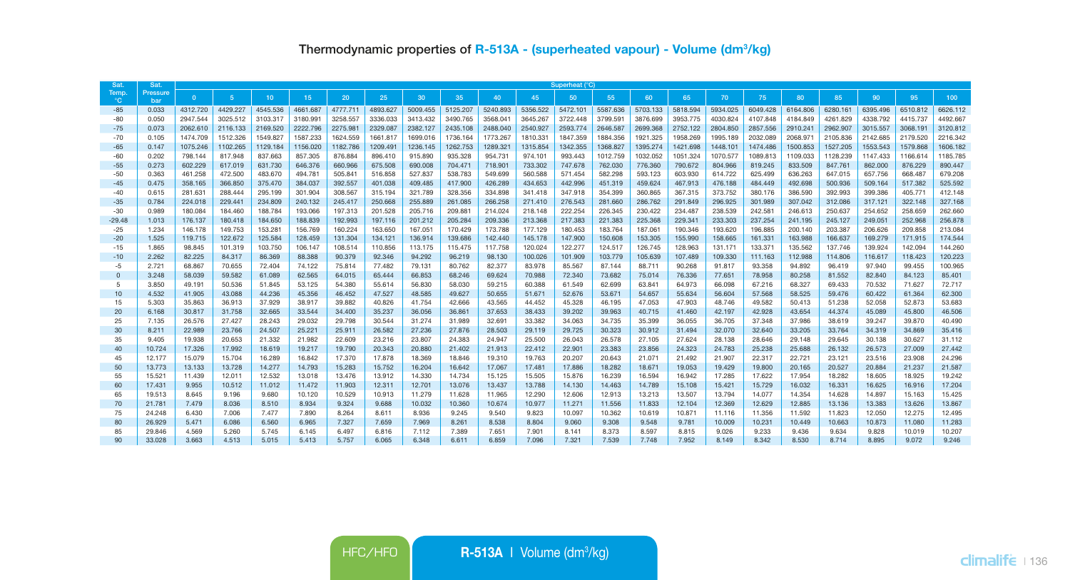| Sat               | Sat.            | Superheat (°C)     |                    |                    |                    |                    |                    |                    |                    |                    |                    |                    |                    |                    |                    |                    |                    |                    |                    |                    |                    |                    |
|-------------------|-----------------|--------------------|--------------------|--------------------|--------------------|--------------------|--------------------|--------------------|--------------------|--------------------|--------------------|--------------------|--------------------|--------------------|--------------------|--------------------|--------------------|--------------------|--------------------|--------------------|--------------------|--------------------|
| Temp.<br>°C.      | Pressure<br>bar | $\Omega$           | 5 <sub>5</sub>     | 10 <sup>1</sup>    | 15                 | 20                 | 25                 | 30                 | 35                 | 40                 | 45                 | 50                 | 55                 | 60                 | 65                 | 70                 | 75                 | 80                 | 85                 | 90                 | 95                 | 100                |
| $-85$             | 0.033           | 4312,720           | 4429.227           | 4545.536           | 4661.687           | 4777.711           | 4893.627           | 5009.455           | 5125,207           | 5240.893           | 5356,522           | 5472.101           | 5587.636           | 5703.133           | 5818,594           | 5934.025           | 6049.428           | 6164,806           | 6280.161           | 6395.496           | 6510.812           | 6626.112           |
| $-80$             | 0.050           | 2947.544           | 3025.512           | 3103.317           | 3180.991           | 3258.557           | 3336.033           | 3413,432           | 3490.765           | 3568,041           | 3645.267           | 3722.448           | 3799.591           | 3876,699           | 3953,775           | 4030.824           | 4107.848           | 4184.849           | 4261.829           | 4338.792           | 4415.737           | 4492.667           |
| $-75$             | 0.073           | 2062.610           | 2116.133           | 2169.520           | 2222.796           | 2275.981           | 2329.087           | 2382.127           | 2435.108           | 2488.040           | 2540.927           | 2593.774           | 2646.587           | 2699.368           | 2752.122           | 2804.850           | 2857.556           | 2910.241           | 2962.907           | 3015.557           | 3068.191           | 3120.812           |
| $-70$             | 0.105           | 1474.709           | 1512.326           | 1549.827           | 1587.233           | 1624.559           | 1661.817           | 1699.016           | 1736.164           | 1773.267           | 1810.331           | 1847.359           | 1884.356           | 1921.325           | 1958.269           | 1995.189           | 2032.089           | 2068.971           | 2105.836           | 2142.685           | 2179.520           | 2216.342           |
| $-65$             | 0.147           | 1075.246           | 1102.265           | 1129.184           | 1156.020           | 1182.786           | 1209.491           | 1236.145           | 1262.753           | 1289.321           | 1315.854           | 1342.355           | 1368.827           | 1395.274           | 1421.698           | 1448.101           | 1474.486           | 1500.853           | 1527.205           | 1553.543           | 1579.868           | 1606.182           |
| $-60$             | 0.202           | 798.144            | 817.948            | 837.663            | 857.305            | 876.884            | 896.410            | 915.890            | 935.328            | 954.731            | 974.101            | 993.443            | 1012.759           | 1032.052           | 1051.324           | 1070.577           | 1089.813           | 1109.033           | 1128.239           | 1147.433           | 1166.614           | 1185.785           |
| $-55$             | 0.273           | 602.229            | 617,019            | 631.730            | 646,376            | 660,966            | 675,508            | 690,008            | 704,471            | 718,901            | 733,302            | 747,678            | 762,030            | 776,360            | 790,672            | 804,966            | 819,245            | 833,509            | 847,761            | 862,000            | 876,229            | 890,447            |
| $-50$             | 0.363           | 461.258            | 472,500            | 483,670            | 494.781            | 505,841            | 516,858            | 527,837            | 538,783            | 549,699            | 560,588            | 571.454            | 582.298            | 593.123            | 603,930            | 614.722            | 625.499            | 636,263            | 647,015            | 657.756            | 668,487            | 679,208            |
| $-45$             | 0.475           | 358.165            | 366,850            | 375,470            | 384,037            | 392.557            | 401.038            | 409,485            | 417.900            | 426,289            | 434,653            | 442,996            | 451,319            | 459,624            | 467.913            | 476,188            | 484,449            | 492.698            | 500,936            | 509.164            | 517,382            | 525.592            |
| $-40$             | 0.615           | 281.631            | 288,444            | 295.199            | 301.904            | 308,567            | 315.194            | 321.789            | 328,356            | 334,898            | 341.418            | 347.918            | 354.399            | 360,865            | 367,315            | 373,752            | 380.176            | 386,590            | 392.993            | 399,386            | 405.771            | 412.148            |
| $-35$             | 0.784<br>0.989  | 224,018<br>180.084 | 229,441            | 234,809            | 240.132<br>193,066 | 245,417<br>197.313 | 250,668            | 255,889<br>205,716 | 261.085<br>209,881 | 266,258            | 271,410<br>218,148 | 276,543<br>222.254 | 281,660<br>226,345 | 286,762<br>230,422 | 291.849            | 296,925<br>238,539 | 301.989<br>242.581 | 307.042<br>246,613 | 312,086<br>250,637 | 317,121<br>254.652 | 322.148<br>258,659 | 327.168<br>262,660 |
| $-30$             |                 |                    | 184,460            | 188.784            | 188,839            | 192.993            | 201.528            | 201.212            | 205,284            | 214.024<br>209,336 | 213,368            | 217,383            | 221.383            | 225,368            | 234,487            | 233,303            | 237.254            |                    | 245.127            |                    | 252,968            | 256,878            |
| $-29.48$<br>$-25$ | 1.013<br>1.234  | 176,137<br>146,178 | 180,418<br>149.753 | 184,650<br>153.281 | 156,769            | 160,224            | 197.116<br>163,650 | 167.051            | 170.429            | 173,788            | 177,129            | 180.453            | 183,764            | 187,061            | 229.341<br>190.346 | 193,620            | 196,885            | 241.195<br>200.140 | 203.387            | 249.051<br>206,626 | 209,858            | 213,084            |
| $-20$             | 1.525           | 119,715            | 122.672            | 125,584            | 128,459            | 131,304            | 134.121            | 136.914            | 139,686            | 142,440            | 145.178            | 147,900            | 150,608            | 153,305            | 155,990            | 158,665            | 161.331            | 163,988            | 166,637            | 169,279            | 171,915            | 174,544            |
| $-15$             | 1.865           | 98,845             | 101.319            | 103.750            | 106.147            | 108,514            | 110,856            | 113.175            | 115,475            | 117,758            | 120.024            | 122,277            | 124,517            | 126,745            | 128,963            | 131.171            | 133,371            | 135,562            | 137,746            | 139,924            | 142.094            | 144,260            |
| $-10$             | 2.262           | 82,225             | 84,317             | 86,369             | 88,388             | 90.379             | 92.346             | 94.292             | 96.219             | 98,130             | 100.026            | 101.909            | 103,779            | 105,639            | 107.489            | 109.330            | 111.163            | 112,988            | 114,806            | 116,617            | 118,423            | 120.223            |
| $-5$              | 2.721           | 68,867             | 70.655             | 72,404             | 74.122             | 75,814             | 77,482             | 79.131             | 80.762             | 82,377             | 83,978             | 85.567             | 87.144             | 88.711             | 90.268             | 91.817             | 93.358             | 94.892             | 96.419             | 97.940             | 99.455             | 100.965            |
| $\overline{0}$    | 3.248           | 58,039             | 59.582             | 61,089             | 62,565             | 64.015             | 65.444             | 66,853             | 68,246             | 69,624             | 70,988             | 72,340             | 73,682             | 75,014             | 76,336             | 77,651             | 78,958             | 80.258             | 81.552             | 82,840             | 84.123             | 85.401             |
| 5                 | 3,850           | 49.191             | 50,536             | 51,845             | 53.125             | 54,380             | 55.614             | 56,830             | 58,030             | 59.215             | 60.388             | 61.549             | 62.699             | 63,841             | 64.973             | 66,098             | 67.216             | 68.327             | 69.433             | 70.532             | 71,627             | 72.717             |
| 10                | 4.532           | 41.905             | 43.088             | 44.236             | 45.356             | 46.452             | 47,527             | 48,585             | 49.627             | 50.655             | 51.671             | 52.676             | 53.671             | 54.657             | 55.634             | 56.604             | 57.568             | 58.525             | 59.476             | 60.422             | 61.364             | 62.300             |
| 15                | 5.303           | 35.863             | 36.913             | 37.929             | 38.917             | 39.882             | 40.826             | 41.754             | 42.666             | 43.565             | 44.452             | 45.328             | 46.195             | 47.053             | 47,903             | 48.746             | 49.582             | 50.413             | 51.238             | 52.058             | 52.873             | 53.683             |
| 20                | 6.168           | 30.817             | 31.758             | 32.665             | 33.544             | 34.400             | 35.237             | 36.056             | 36.861             | 37.653             | 38.433             | 39.202             | 39.963             | 40.715             | 41.460             | 42.197             | 42.928             | 43.654             | 44.374             | 45.089             | 45.800             | 46,506             |
| 25                | 7.135           | 26.576             | 27,427             | 28.243             | 29.032             | 29.798             | 30.544             | 31.274             | 31.989             | 32.691             | 33.382             | 34.063             | 34.735             | 35.399             | 36.055             | 36.705             | 37.348             | 37.986             | 38.619             | 39.247             | 39.870             | 40.490             |
| 30                | 8.211           | 22.989             | 23.766             | 24.507             | 25.221             | 25.911             | 26.582             | 27.236             | 27.876             | 28.503             | 29.119             | 29.725             | 30.323             | 30.912             | 31.494             | 32.070             | 32,640             | 33.205             | 33.764             | 34.319             | 34,869             | 35.416             |
| 35                | 9.405           | 19.938             | 20.653             | 21.332             | 21.982             | 22.609             | 23.216             | 23.807             | 24.383             | 24,947             | 25.500             | 26.043             | 26.578             | 27.105             | 27.624             | 28.138             | 28,646             | 29.148             | 29.645             | 30.138             | 30.627             | 31.112             |
| 40                | 10.724          | 17.326             | 17.992             | 18,619             | 19.217             | 19.790             | 20.343             | 20.880             | 21,402             | 21.913             | 22.412             | 22.901             | 23.383             | 23.856             | 24.323             | 24.783             | 25.238             | 25.688             | 26.132             | 26,573             | 27,009             | 27,442             |
| 45                | 12.177          | 15.079             | 15,704             | 16,289             | 16,842             | 17.370             | 17.878             | 18,369             | 18,846             | 19.310             | 19.763             | 20,207             | 20.643             | 21.071             | 21.492             | 21,907             | 22.317             | 22.721             | 23.121             | 23.516             | 23,908             | 24.296             |
| 50                | 13,773          | 13.133             | 13.728             | 14.277             | 14.793             | 15.283             | 15.752             | 16.204             | 16.642             | 17.067             | 17.481             | 17,886             | 18.282             | 18.671             | 19.053             | 19.429             | 19.800             | 20.165             | 20.527             | 20.884             | 21.237             | 21.587             |
| 55                | 15,521          | 11,439             | 12.011             | 12.532             | 13,018             | 13,476             | 13.912             | 14.330             | 14.734             | 15.125             | 15,505             | 15,876             | 16.239             | 16,594             | 16.942             | 17,285             | 17.622             | 17,954             | 18.282             | 18,605             | 18.925             | 19.242             |
| 60                | 17.431          | 9.955              | 10.512             | 11.012             | 11.472             | 11,903             | 12.311             | 12,701             | 13,076             | 13.437             | 13.788             | 14.130             | 14,463             | 14.789             | 15.108             | 15.421             | 15,729             | 16.032             | 16.331             | 16.625             | 16.916             | 17,204             |
| 65                | 19,513          | 8.645              | 9.196              | 9,680              | 10.120             | 10.529             | 10.913             | 11.279             | 11.628             | 11.965             | 12.290             | 12,606             | 12.913             | 13.213             | 13,507             | 13,794             | 14.077             | 14.354             | 14.628             | 14,897             | 15.163             | 15.425             |
| 70                | 21,781          | 7.479              | 8.036              | 8.510              | 8.934              | 9.324              | 9.688              | 10.032             | 10.360             | 10.674             | 10.977             | 11.271             | 11.556             | 11.833             | 12,104             | 12.369             | 12.629             | 12,885             | 13.136             | 13.383             | 13.626             | 13,867             |
| 75                | 24,248          | 6,430              | 7.006              | 7.477              | 7,890              | 8.264              | 8.611              | 8.936              | 9.245              | 9,540              | 9.823              | 10.097             | 10.362             | 10.619             | 10.871             | 11.116             | 11,356             | 11,592             | 11.823             | 12.050             | 12.275             | 12.495             |
| 80                | 26,929          | 5.471              | 6.086              | 6.560              | 6.965              | 7.327              | 7.659              | 7,969              | 8.261              | 8.538              | 8.804              | 9.060              | 9.308              | 9.548              | 9.781              | 10,009             | 10.231             | 10.449             | 10.663             | 10.873             | 11.080             | 11.283             |
| 85                | 29,846          | 4,569              | 5,260              | 5.745              | 6.145              | 6.497              | 6,816              | 7.112              | 7,389              | 7.651              | 7.901              | 8.141              | 8.373              | 8.597              | 8.815              | 9.026              | 9.233              | 9.436              | 9.634              | 9.828              | 10.019             | 10.207             |
| 90                | 33,028          | 3.663              | 4.513              | 5.015              | 5.413              | 5.757              | 6.065              | 6.348              | 6.611              | 6,859              | 7.096              | 7.321              | 7.539              | 7.748              | 7.952              | 8.149              | 8.342              | 8.530              | 8.714              | 8.895              | 9.072              | 9.246              |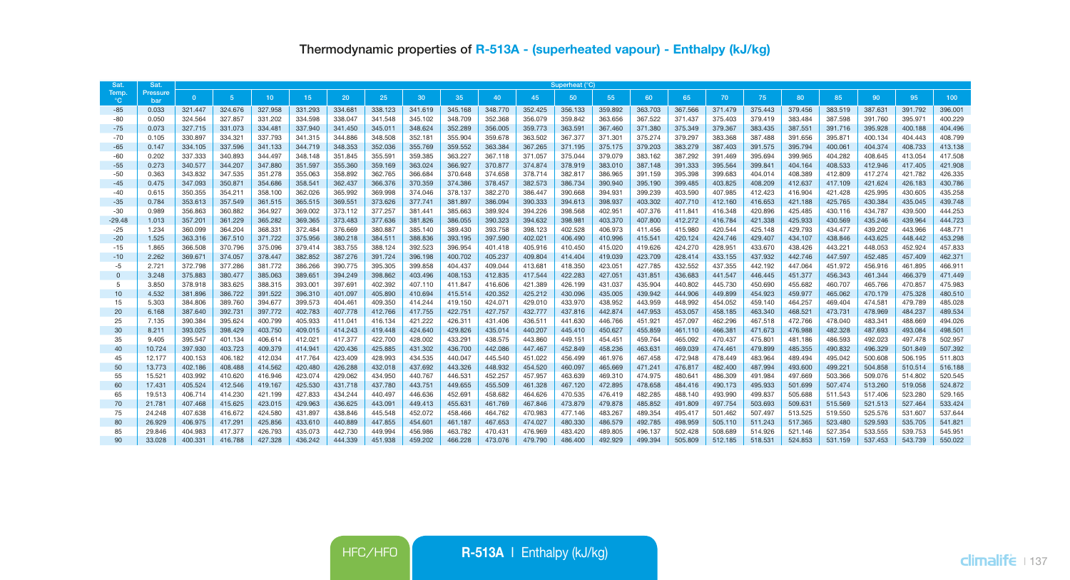| Sat            | Sat.            | Superheat (°C)     |                    |                    |                    |                    |                    |                    |                    |                    |                    |                    |                    |                    |                    |                    |                    |                    |                    |                    |                    |                    |
|----------------|-----------------|--------------------|--------------------|--------------------|--------------------|--------------------|--------------------|--------------------|--------------------|--------------------|--------------------|--------------------|--------------------|--------------------|--------------------|--------------------|--------------------|--------------------|--------------------|--------------------|--------------------|--------------------|
| Temp<br>°С     | Pressure<br>bar | $\Omega$           | $-5$               | 10                 | 15                 | 20                 | 25                 | 30                 | 35                 | 40                 | 45                 | 50                 | 55                 | 60                 | 65                 | 70                 | 75                 | 80                 | 85                 | 90                 | 95                 | 100                |
| $-85$          | 0.033           | 321.447            | 324,676            | 327,958            | 331.293            | 334,681            | 338.123            | 341.619            | 345.168            | 348,770            | 352,425            | 356,133            | 359,892            | 363,703            | 367,566            | 371,479            | 375,443            | 379,456            | 383,519            | 387,631            | 391.792            | 396.001            |
| $-80$          | 0.050           | 324.564            | 327,857            | 331.202            | 334,598            | 338,047            | 341,548            | 345.102            | 348,709            | 352,368            | 356,079            | 359,842            | 363,656            | 367,522            | 371.437            | 375,403            | 379,419            | 383.484            | 387.598            | 391.760            | 395.971            | 400.229            |
| $-75$          | 0.073           | 327.715            | 331.073            | 334.481            | 337.940            | 341.450            | 345.011            | 348.624            | 352.289            | 356.005            | 359.773            | 363.591            | 367.460            | 371.380            | 375,349            | 379,367            | 383.435            | 387.551            | 391.716            | 395.928            | 400.188            | 404.496            |
| $-70$          | 0.105           | 330.897            | 334.321            | 337.793            | 341.315            | 344,886            | 348,508            | 352.181            | 355,904            | 359,678            | 363.502            | 367,377            | 371.301            | 375.274            | 379.297            | 383.368            | 387,488            | 391.656            | 395.871            | 400.134            | 404.443            | 408.799            |
| $-65$          | 0.147           | 334.105            | 337.596            | 341.133            | 344.719            | 348.353            | 352.036            | 355.769            | 359.552            | 363.384            | 367.265            | 371.195            | 375.175            | 379.203            | 383.279            | 387.403            | 391.575            | 395.794            | 400.061            | 404.374            | 408,733            | 413.138            |
| $-60$          | 0.202           | 337.333            | 340.893            | 344.497            | 348.148            | 351.845            | 355.591            | 359.385            | 363.227            | 367.118            | 371.057            | 375.044            | 379.079            | 383.162            | 387.292            | 391.469            | 395.694            | 399.965            | 404.282            | 408.645            | 413.054            | 417.508            |
| $-55$          | 0.273           | 340,577            | 344,207            | 347,880            | 351.597            | 355,360            | 359,169            | 363.024            | 366.927            | 370,877            | 374,874            | 378,919            | 383,010            | 387.148            | 391.333            | 395,564            | 399.841            | 404.164            | 408.533            | 412.946            | 417,405            | 421.908            |
| $-50$          | 0.363           | 343.832            | 347,535            | 351,278            | 355,063            | 358,892            | 362.765            | 366,684            | 370,648            | 374,658            | 378,714            | 382.817            | 386,965            | 391.159            | 395,398            | 399,683            | 404.014            | 408,389            | 412,809            | 417.274            | 421.782            | 426.335            |
| $-45$          | 0.475           | 347.093            | 350,871            | 354,686            | 358,541            | 362,437            | 366,376            | 370,359            | 374.386            | 378.457            | 382,573            | 386,734            | 390,940            | 395,190            | 399,485            | 403.825            | 408.209            | 412.637            | 417.109            | 421.624            | 426.183            | 430,786            |
| $-40$          | 0.615           | 350.355            | 354.211            | 358.100            | 362.026            | 365.992            | 369,998            | 374.046            | 378.137            | 382,270            | 386,447            | 390,668            | 394.931            | 399,239            | 403.590            | 407.985            | 412.423            | 416,904            | 421.428            | 425.995            | 430,605            | 435.258            |
| $-35$          | 0.784           | 353.613            | 357.549            | 361.515            | 365,515            | 369,551            | 373,626            | 377,741            | 381.897            | 386,094            | 390,333            | 394,613            | 398,937            | 403.302            | 407,710            | 412.160            | 416,653            | 421.188            | 425.765            | 430.384            | 435.045            | 439,748            |
| $-30$          | 0.989           | 356,863            | 360,882            | 364.927            | 369,002            | 373.112            | 377.257            | 381.441            | 385,663            | 389,924            | 394.226            | 398,568            | 402.951            | 407.376            | 411.841            | 416,348            | 420.896            | 425.485            | 430.116            | 434,787            | 439,500            | 444.253            |
| $-29.48$       | 1.013<br>1.234  | 357,201<br>360.099 | 361.229<br>364,204 | 365,282            | 369,365<br>372,484 | 373,483<br>376,669 | 377,636            | 381,826            | 386,055<br>389,430 | 390.323<br>393.758 | 394,632            | 398,981<br>402.528 | 403,370<br>406.973 | 407,800<br>411.456 | 412.272<br>415,980 | 416,784<br>420,544 | 421.338<br>425.148 | 425.933<br>429.793 | 430.569<br>434,477 | 435,246<br>439.202 | 439,964<br>443.966 | 444.723<br>448.771 |
| $-25$          | 1.525           |                    |                    | 368,331            | 375,956            | 380,218            | 380,887            | 385.140<br>388,836 |                    | 397,590            | 398.123            |                    | 410.996            | 415.541            |                    | 424,746            | 429,407            |                    | 438,846            | 443.625            | 448,442            | 453.298            |
| $-20$<br>$-15$ | 1.865           | 363,316<br>366,508 | 367.510<br>370,796 | 371,722<br>375,096 | 379,414            | 383.755            | 384.511<br>388,124 | 392.523            | 393.195<br>396,954 | 401.418            | 402.021<br>405.916 | 406,490<br>410.450 | 415.020            | 419.626            | 420.124<br>424.270 | 428.951            | 433,670            | 434,107<br>438,426 | 443.221            | 448.053            | 452.924            | 457.833            |
| $-10$          | 2.262           | 369,671            | 374,057            | 378,447            | 382.852            | 387,276            | 391.724            | 396,198            | 400.702            | 405.237            | 409,804            | 414,404            | 419,039            | 423,709            | 428,414            | 433.155            | 437.932            | 442,746            | 447.597            | 452,485            | 457,409            | 462,371            |
| $-5$           | 2.721           | 372.798            | 377,286            | 381.772            | 386,266            | 390.775            | 395,305            | 399.858            | 404,437            | 409.044            | 413.681            | 418,350            | 423.051            | 427.785            | 432.552            | 437.355            | 442.192            | 447.064            | 451.972            | 456.916            | 461.895            | 466.911            |
| $\mathbf{0}$   | 3.248           | 375,883            | 380.477            | 385,063            | 389,651            | 394,249            | 398,862            | 403.496            | 408.153            | 412,835            | 417,544            | 422.283            | 427.051            | 431.851            | 436,683            | 441.547            | 446,445            | 451.377            | 456,343            | 461.344            | 466,379            | 471,449            |
| 5              | 3.850           | 378,918            | 383.625            | 388.315            | 393,001            | 397.691            | 402.392            | 407.110            | 411.847            | 416,606            | 421.389            | 426.199            | 431.037            | 435,904            | 440.802            | 445.730            | 450,690            | 455.682            | 460,707            | 465.766            | 470,857            | 475,983            |
| 10             | 4.532           | 381.896            | 386.722            | 391.522            | 396.310            | 401.097            | 405,890            | 410,694            | 415,514            | 420.352            | 425.212            | 430,096            | 435.005            | 439.942            | 444.906            | 449.899            | 454.923            | 459,977            | 465.062            | 470.179            | 475.328            | 480.510            |
| 15             | 5.303           | 384.806            | 389.760            | 394.677            | 399.573            | 404.461            | 409,350            | 414,244            | 419.150            | 424.071            | 429.010            | 433.970            | 438.952            | 443.959            | 448.992            | 454.052            | 459.140            | 464.257            | 469.404            | 474.581            | 479.789            | 485.028            |
| 20             | 6.168           | 387.640            | 392.731            | 397.772            | 402.783            | 407.778            | 412.766            | 417.755            | 422.751            | 427.757            | 432.777            | 437.816            | 442.874            | 447.953            | 453.057            | 458.185            | 463.340            | 468.521            | 473.731            | 478.969            | 484.237            | 489.534            |
| 25             | 7.135           | 390.384            | 395.624            | 400.799            | 405.933            | 411.041            | 416.134            | 421.222            | 426.311            | 431.406            | 436.511            | 441.630            | 446.766            | 451.921            | 457.097            | 462.296            | 467.518            | 472.766            | 478.040            | 483.341            | 488.669            | 494.026            |
| 30             | 8.211           | 393.025            | 398.429            | 403.750            | 409.015            | 414,243            | 419.448            | 424.640            | 429,826            | 435.014            | 440.207            | 445,410            | 450.627            | 455.859            | 461.110            | 466.381            | 471.673            | 476.988            | 482.328            | 487.693            | 493.084            | 498.501            |
| 35             | 9.405           | 395.547            | 401.134            | 406.614            | 412.021            | 417.377            | 422.700            | 428.002            | 433.291            | 438.575            | 443.860            | 449.151            | 454.451            | 459.764            | 465.092            | 470,437            | 475.801            | 481.186            | 486.593            | 492.023            | 497.478            | 502.957            |
| 40             | 10.724          | 397.930            | 403.723            | 409.379            | 414,941            | 420.436            | 425.885            | 431.302            | 436,700            | 442.086            | 447.467            | 452.849            | 458.236            | 463.631            | 469.039            | 474,461            | 479.899            | 485.355            | 490.832            | 496,329            | 501.849            | 507.392            |
| 45             | 12.177          | 400.153            | 406.182            | 412.034            | 417.764            | 423,409            | 428,993            | 434,535            | 440.047            | 445.540            | 451.022            | 456,499            | 461.976            | 467.458            | 472.948            | 478,449            | 483.964            | 489.494            | 495.042            | 500.608            | 506.195            | 511.803            |
| 50             | 13,773          | 402.186            | 408.488            | 414.562            | 420.480            | 426.288            | 432.018            | 437.692            | 443.326            | 448.932            | 454.520            | 460.097            | 465.669            | 471.241            | 476.817            | 482,400            | 487.994            | 493.600            | 499.221            | 504.858            | 510.514            | 516.188            |
| 55             | 15.521          | 403.992            | 410.620            | 416.946            | 423.074            | 429.062            | 434,950            | 440.767            | 446,531            | 452.257            | 457.957            | 463,639            | 469,310            | 474.975            | 480.641            | 486,309            | 491.984            | 497.669            | 503.366            | 509.076            | 514,802            | 520.545            |
| 60             | 17,431          | 405.524            | 412.546            | 419.167            | 425,530            | 431,718            | 437.780            | 443.751            | 449.655            | 455,509            | 461.328            | 467.120            | 472.895            | 478,658            | 484.416            | 490.173            | 495.933            | 501.699            | 507.474            | 513,260            | 519,058            | 524.872            |
| 65             | 19,513          | 406.714            | 414.230            | 421.199            | 427.833            | 434.244            | 440.497            | 446,636            | 452.691            | 458,682            | 464.626            | 470.535            | 476,419            | 482.285            | 488.140            | 493.990            | 499.837            | 505,688            | 511.543            | 517,406            | 523,280            | 529.165            |
| 70             | 21.781          | 407.468            | 415.625            | 423.015            | 429,963            | 436.625            | 443.091            | 449.413            | 455.631            | 461.769            | 467,846            | 473,879            | 479,878            | 485.852            | 491,809            | 497.754            | 503.693            | 509.631            | 515,569            | 521.513            | 527,464            | 533,424            |
| 75             | 24.248          | 407.638            | 416,672            | 424.580            | 431.897            | 438,846            | 445.548            | 452.072            | 458,466            | 464.762            | 470.983            | 477.146            | 483.267            | 489,354            | 495.417            | 501.462            | 507.497            | 513.525            | 519,550            | 525.576            | 531.607            | 537.644            |
| 80             | 26,929          | 406.975            | 417.291            | 425.856            | 433,610            | 440,889            | 447,855            | 454,601            | 461.187            | 467.653            | 474.027            | 480,330            | 486,579            | 492,785            | 498,959            | 505,110            | 511.243            | 517,365            | 523,480            | 529,593            | 535,705            | 541.821            |
| 85             | 29,846          | 404.983            | 417.377            | 426,793            | 435.073            | 442,730            | 449.994            | 456.986            | 463.782            | 470.431            | 476,969            | 483.420            | 489,805            | 496,137            | 502.428            | 508,689            | 514.926            | 521.146            | 527.354            | 533.555            | 539,753            | 545.951            |
| 90             | 33,028          | 400.331            | 416,788            | 427.328            | 436.242            | 444,339            | 451.938            | 459,202            | 466.228            | 473.076            | 479.790            | 486,400            | 492.929            | 499.394            | 505,809            | 512.185            | 518,531            | 524.853            | 531.159            | 537.453            | 543.739            | 550.022            |